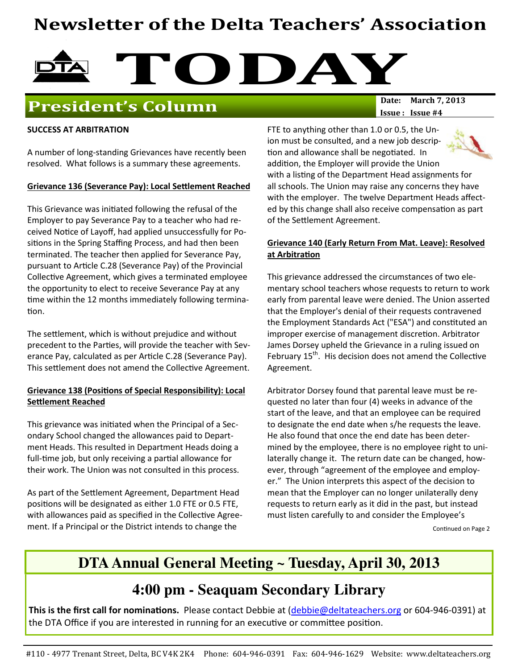# Newsletter of the Delta Teachers' Association



## President's Column

Issue: Issue #4

#### SUCCESS AT ARBITRATION

A number of long-standing Grievances have recently been resolved. What follows is a summary these agreements.

#### Grievance 136 (Severance Pay): Local Settlement Reached

This Grievance was initiated following the refusal of the Employer to pay Severance Pay to a teacher who had received Notice of Layoff, had applied unsuccessfully for Positions in the Spring Staffing Process, and had then been terminated. The teacher then applied for Severance Pay, pursuant to Article C.28 (Severance Pay) of the Provincial Collective Agreement, which gives a terminated employee the opportunity to elect to receive Severance Pay at any time within the 12 months immediately following termination.

The settlement, which is without prejudice and without precedent to the Parties, will provide the teacher with Severance Pay, calculated as per Article C.28 (Severance Pay). This settlement does not amend the Collective Agreement.

### Grievance 138 (Positions of Special Responsibility): Local Settlement Reached

This grievance was initiated when the Principal of a Secondary School changed the allowances paid to Department Heads. This resulted in Department Heads doing a full-time job, but only receiving a partial allowance for their work. The Union was not consulted in this process.

As part of the Settlement Agreement, Department Head positions will be designated as either 1.0 FTE or 0.5 FTE, with allowances paid as specified in the Collective Agreement. If a Principal or the District intends to change the

FTE to anything other than 1.0 or 0.5, the Union must be consulted, and a new job descrip tion and allowance shall be negotiated. In addition, the Employer will provide the Union with a listing of the Department Head assignments for all schools. The Union may raise any concerns they have with the employer. The twelve Department Heads affected by this change shall also receive compensation as part of the Settlement Agreement.

### Grievance 140 (Early Return From Mat. Leave): Resolved at Arbitration

This grievance addressed the circumstances of two elementary school teachers whose requests to return to work early from parental leave were denied. The Union asserted that the Employer's denial of their requests contravened the Employment Standards Act ("ESA") and constuted an improper exercise of management discretion. Arbitrator James Dorsey upheld the Grievance in a ruling issued on February  $15<sup>th</sup>$ . His decision does not amend the Collective Agreement.

Arbitrator Dorsey found that parental leave must be requested no later than four (4) weeks in advance of the start of the leave, and that an employee can be required to designate the end date when s/he requests the leave. He also found that once the end date has been determined by the employee, there is no employee right to unilaterally change it. The return date can be changed, however, through "agreement of the employee and employer." The Union interprets this aspect of the decision to mean that the Employer can no longer unilaterally deny requests to return early as it did in the past, but instead must listen carefully to and consider the Employee's

Continued on Page 2

### **DTA Annual General Meeting ~ Tuesday, April 30, 2013**

### **4:00 pm - Seaquam Secondary Library**

This is the first call for nominations. Please contact Debbie at (debbie@deltateachers.org or 604-946-0391) at the DTA Office if you are interested in running for an executive or committee position.